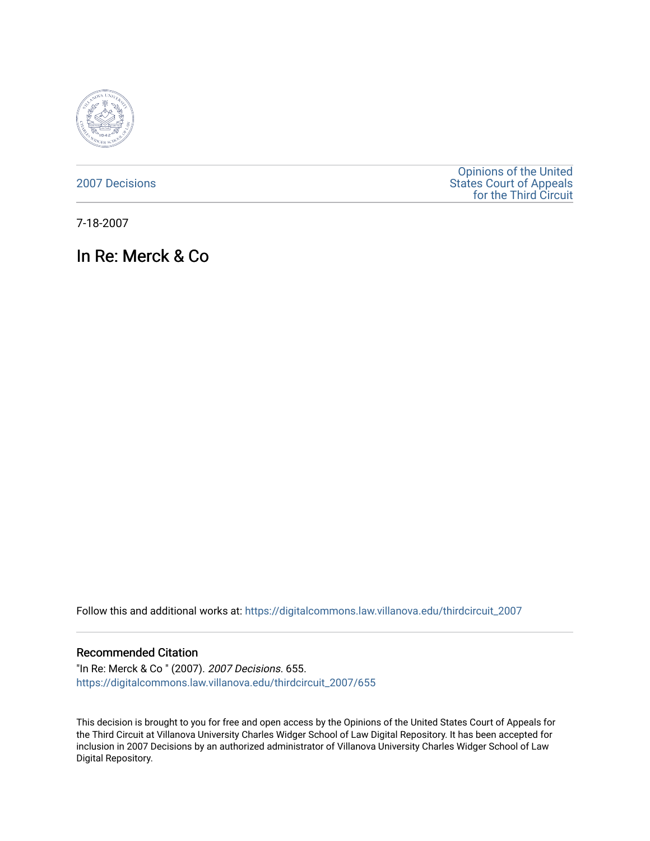

[2007 Decisions](https://digitalcommons.law.villanova.edu/thirdcircuit_2007)

[Opinions of the United](https://digitalcommons.law.villanova.edu/thirdcircuit)  [States Court of Appeals](https://digitalcommons.law.villanova.edu/thirdcircuit)  [for the Third Circuit](https://digitalcommons.law.villanova.edu/thirdcircuit) 

7-18-2007

In Re: Merck & Co

Follow this and additional works at: [https://digitalcommons.law.villanova.edu/thirdcircuit\\_2007](https://digitalcommons.law.villanova.edu/thirdcircuit_2007?utm_source=digitalcommons.law.villanova.edu%2Fthirdcircuit_2007%2F655&utm_medium=PDF&utm_campaign=PDFCoverPages) 

#### Recommended Citation

"In Re: Merck & Co " (2007). 2007 Decisions. 655. [https://digitalcommons.law.villanova.edu/thirdcircuit\\_2007/655](https://digitalcommons.law.villanova.edu/thirdcircuit_2007/655?utm_source=digitalcommons.law.villanova.edu%2Fthirdcircuit_2007%2F655&utm_medium=PDF&utm_campaign=PDFCoverPages)

This decision is brought to you for free and open access by the Opinions of the United States Court of Appeals for the Third Circuit at Villanova University Charles Widger School of Law Digital Repository. It has been accepted for inclusion in 2007 Decisions by an authorized administrator of Villanova University Charles Widger School of Law Digital Repository.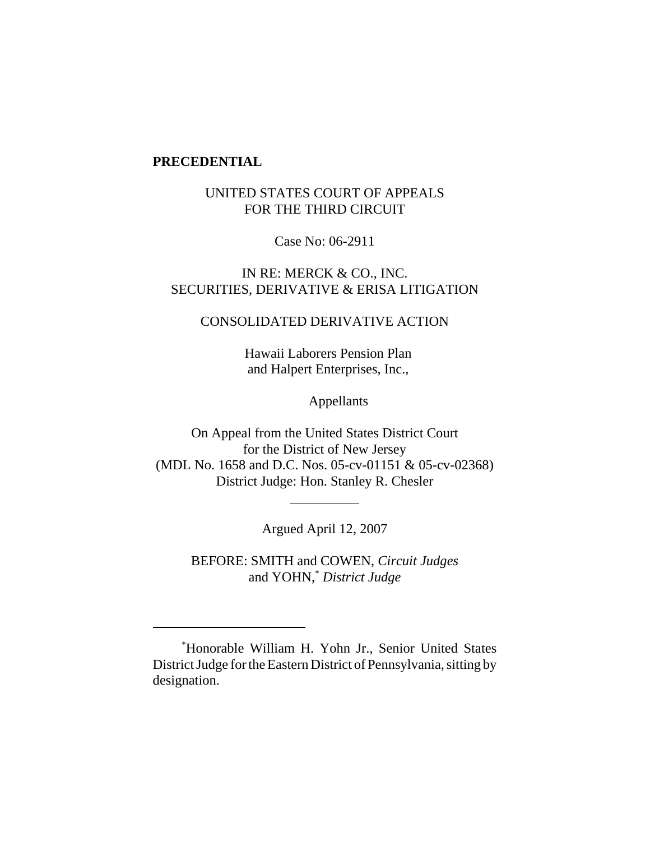#### **PRECEDENTIAL**

# UNITED STATES COURT OF APPEALS FOR THE THIRD CIRCUIT

Case No: 06-2911

## IN RE: MERCK & CO., INC. SECURITIES, DERIVATIVE & ERISA LITIGATION

#### CONSOLIDATED DERIVATIVE ACTION

 Hawaii Laborers Pension Plan and Halpert Enterprises, Inc.,

Appellants

On Appeal from the United States District Court for the District of New Jersey (MDL No. 1658 and D.C. Nos. 05-cv-01151 & 05-cv-02368) District Judge: Hon. Stanley R. Chesler

Argued April 12, 2007

 $\overline{a}$ 

BEFORE: SMITH and COWEN, *Circuit Judges* and YOHN,\* *District Judge*

 <sup>\*</sup> Honorable William H. Yohn Jr., Senior United States District Judge for the Eastern District of Pennsylvania, sitting by designation.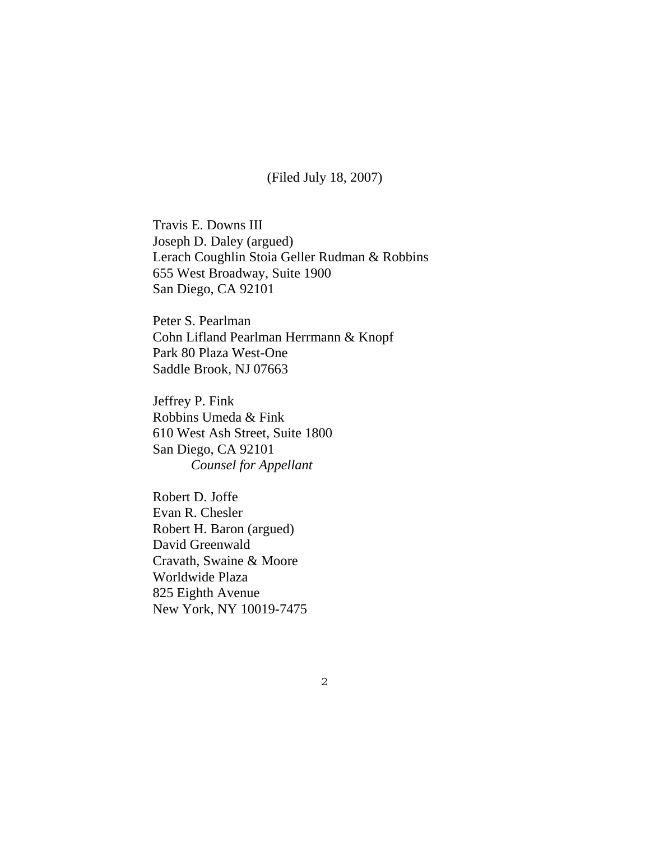(Filed July 18, 2007)

Travis E. Downs III Joseph D. Daley (argued) Lerach Coughlin Stoia Geller Rudman & Robbins 655 West Broadway, Suite 1900 San Diego, CA 92101

Peter S. Pearlman Cohn Lifland Pearlman Herrmann & Knopf Park 80 Plaza West-One Saddle Brook, NJ 07663

Jeffrey P. Fink Robbins Umeda & Fink 610 West Ash Street, Suite 1800 San Diego, CA 92101 *Counsel for Appellant*

Robert D. Joffe Evan R. Chesler Robert H. Baron (argued) David Greenwald Cravath, Swaine & Moore Worldwide Plaza 825 Eighth Avenue New York, NY 10019-7475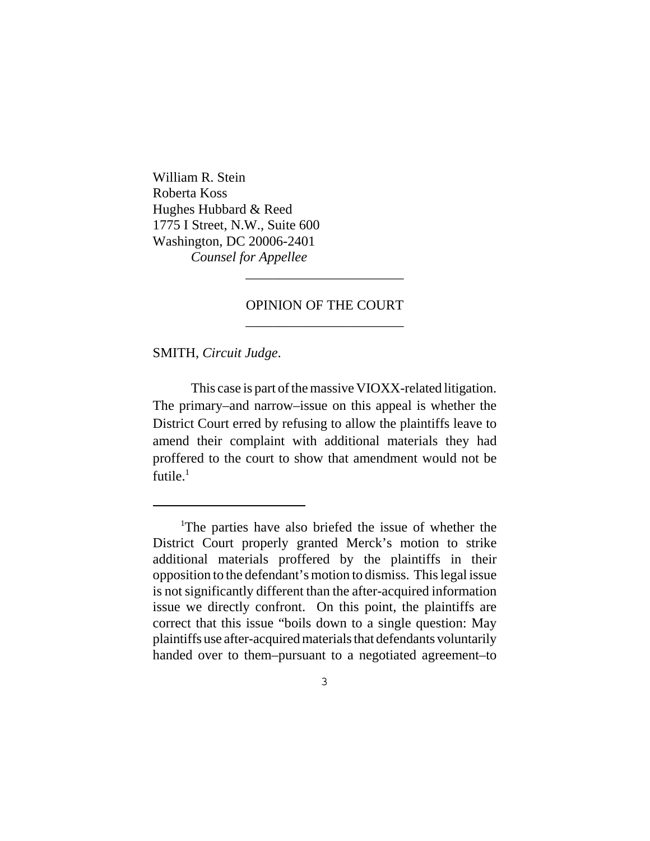William R. Stein Roberta Koss Hughes Hubbard & Reed 1775 I Street, N.W., Suite 600 Washington, DC 20006-2401 *Counsel for Appellee* \_\_\_\_\_\_\_\_\_\_\_\_\_\_\_\_\_\_\_\_\_\_\_

## OPINION OF THE COURT \_\_\_\_\_\_\_\_\_\_\_\_\_\_\_\_\_\_\_\_\_\_\_

SMITH, *Circuit Judge*.

This case is part of the massive VIOXX-related litigation. The primary–and narrow–issue on this appeal is whether the District Court erred by refusing to allow the plaintiffs leave to amend their complaint with additional materials they had proffered to the court to show that amendment would not be futile. $<sup>1</sup>$ </sup>

<sup>&</sup>lt;sup>1</sup>The parties have also briefed the issue of whether the District Court properly granted Merck's motion to strike additional materials proffered by the plaintiffs in their opposition to the defendant's motion to dismiss. This legal issue is not significantly different than the after-acquired information issue we directly confront. On this point, the plaintiffs are correct that this issue "boils down to a single question: May plaintiffs use after-acquired materials that defendants voluntarily handed over to them–pursuant to a negotiated agreement–to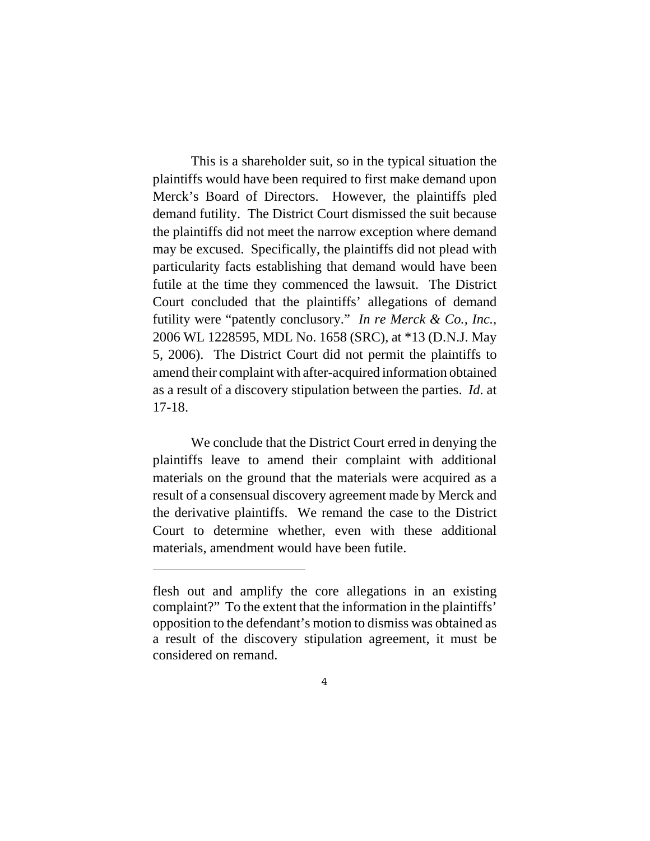This is a shareholder suit, so in the typical situation the plaintiffs would have been required to first make demand upon Merck's Board of Directors. However, the plaintiffs pled demand futility. The District Court dismissed the suit because the plaintiffs did not meet the narrow exception where demand may be excused. Specifically, the plaintiffs did not plead with particularity facts establishing that demand would have been futile at the time they commenced the lawsuit. The District Court concluded that the plaintiffs' allegations of demand futility were "patently conclusory." *In re Merck & Co., Inc.*, 2006 WL 1228595, MDL No. 1658 (SRC), at \*13 (D.N.J. May 5, 2006). The District Court did not permit the plaintiffs to amend their complaint with after-acquired information obtained as a result of a discovery stipulation between the parties. *Id*. at 17-18.

We conclude that the District Court erred in denying the plaintiffs leave to amend their complaint with additional materials on the ground that the materials were acquired as a result of a consensual discovery agreement made by Merck and the derivative plaintiffs. We remand the case to the District Court to determine whether, even with these additional materials, amendment would have been futile.

flesh out and amplify the core allegations in an existing complaint?" To the extent that the information in the plaintiffs' opposition to the defendant's motion to dismiss was obtained as a result of the discovery stipulation agreement, it must be considered on remand.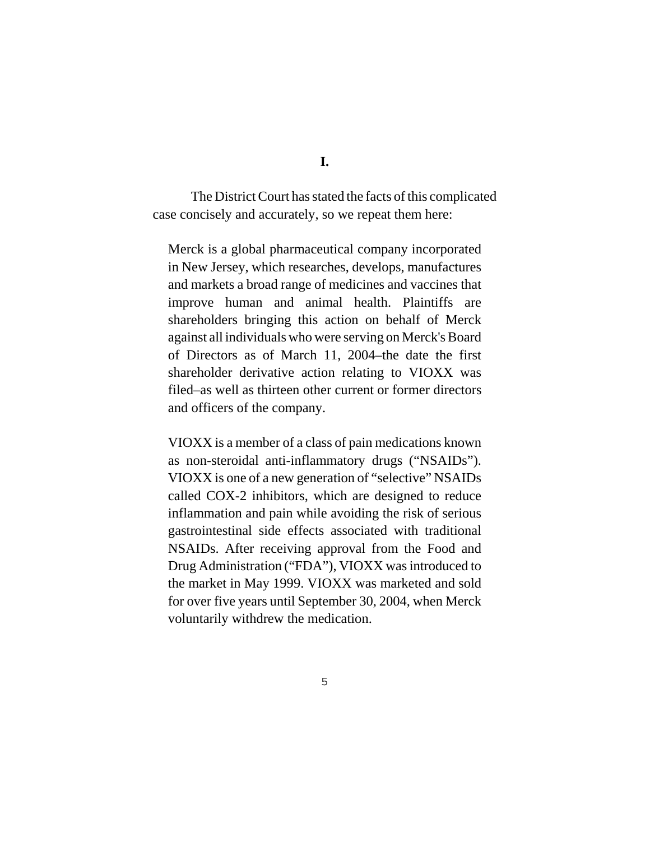#### **I.**

The District Court has stated the facts of this complicated case concisely and accurately, so we repeat them here:

Merck is a global pharmaceutical company incorporated in New Jersey, which researches, develops, manufactures and markets a broad range of medicines and vaccines that improve human and animal health. Plaintiffs are shareholders bringing this action on behalf of Merck against all individuals who were serving on Merck's Board of Directors as of March 11, 2004–the date the first shareholder derivative action relating to VIOXX was filed–as well as thirteen other current or former directors and officers of the company.

VIOXX is a member of a class of pain medications known as non-steroidal anti-inflammatory drugs ("NSAIDs"). VIOXX is one of a new generation of "selective" NSAIDs called COX-2 inhibitors, which are designed to reduce inflammation and pain while avoiding the risk of serious gastrointestinal side effects associated with traditional NSAIDs. After receiving approval from the Food and Drug Administration ("FDA"), VIOXX was introduced to the market in May 1999. VIOXX was marketed and sold for over five years until September 30, 2004, when Merck voluntarily withdrew the medication.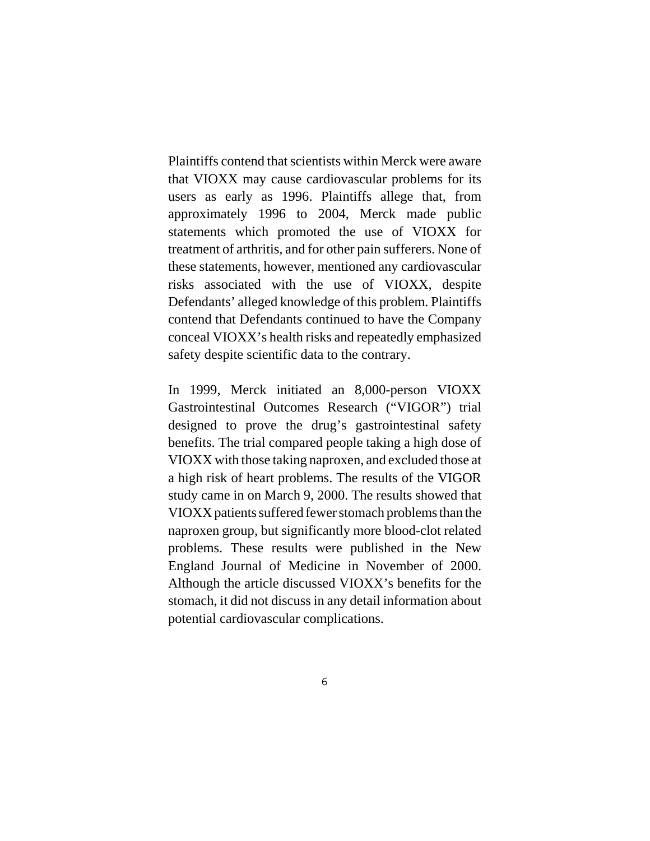Plaintiffs contend that scientists within Merck were aware that VIOXX may cause cardiovascular problems for its users as early as 1996. Plaintiffs allege that, from approximately 1996 to 2004, Merck made public statements which promoted the use of VIOXX for treatment of arthritis, and for other pain sufferers. None of these statements, however, mentioned any cardiovascular risks associated with the use of VIOXX, despite Defendants' alleged knowledge of this problem. Plaintiffs contend that Defendants continued to have the Company conceal VIOXX's health risks and repeatedly emphasized safety despite scientific data to the contrary.

In 1999, Merck initiated an 8,000-person VIOXX Gastrointestinal Outcomes Research ("VIGOR") trial designed to prove the drug's gastrointestinal safety benefits. The trial compared people taking a high dose of VIOXX with those taking naproxen, and excluded those at a high risk of heart problems. The results of the VIGOR study came in on March 9, 2000. The results showed that VIOXX patients suffered fewer stomach problems than the naproxen group, but significantly more blood-clot related problems. These results were published in the New England Journal of Medicine in November of 2000. Although the article discussed VIOXX's benefits for the stomach, it did not discuss in any detail information about potential cardiovascular complications.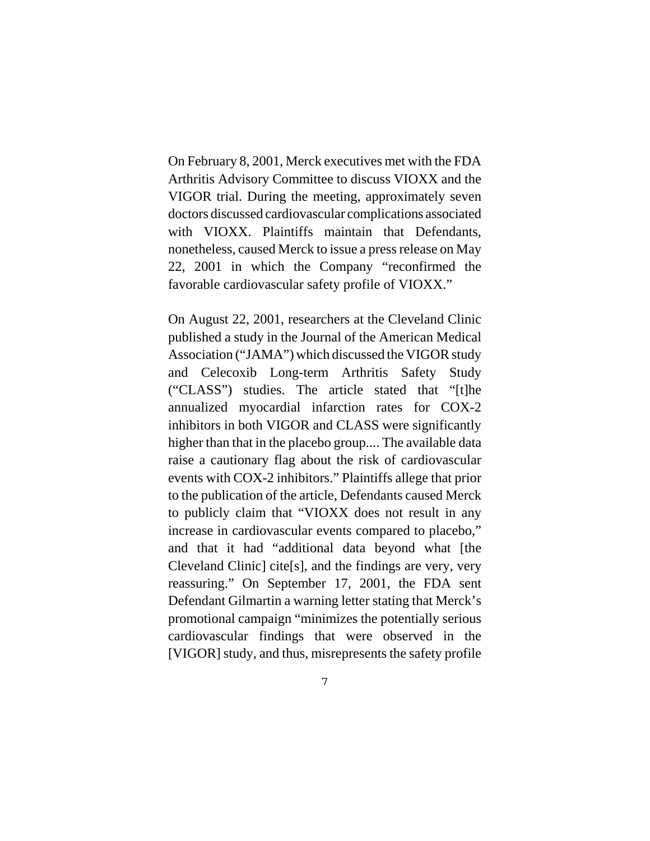On February 8, 2001, Merck executives met with the FDA Arthritis Advisory Committee to discuss VIOXX and the VIGOR trial. During the meeting, approximately seven doctors discussed cardiovascular complications associated with VIOXX. Plaintiffs maintain that Defendants, nonetheless, caused Merck to issue a press release on May 22, 2001 in which the Company "reconfirmed the favorable cardiovascular safety profile of VIOXX."

On August 22, 2001, researchers at the Cleveland Clinic published a study in the Journal of the American Medical Association ("JAMA") which discussed the VIGOR study and Celecoxib Long-term Arthritis Safety Study ("CLASS") studies. The article stated that "[t]he annualized myocardial infarction rates for COX-2 inhibitors in both VIGOR and CLASS were significantly higher than that in the placebo group.... The available data raise a cautionary flag about the risk of cardiovascular events with COX-2 inhibitors." Plaintiffs allege that prior to the publication of the article, Defendants caused Merck to publicly claim that "VIOXX does not result in any increase in cardiovascular events compared to placebo," and that it had "additional data beyond what [the Cleveland Clinic] cite[s], and the findings are very, very reassuring." On September 17, 2001, the FDA sent Defendant Gilmartin a warning letter stating that Merck's promotional campaign "minimizes the potentially serious cardiovascular findings that were observed in the [VIGOR] study, and thus, misrepresents the safety profile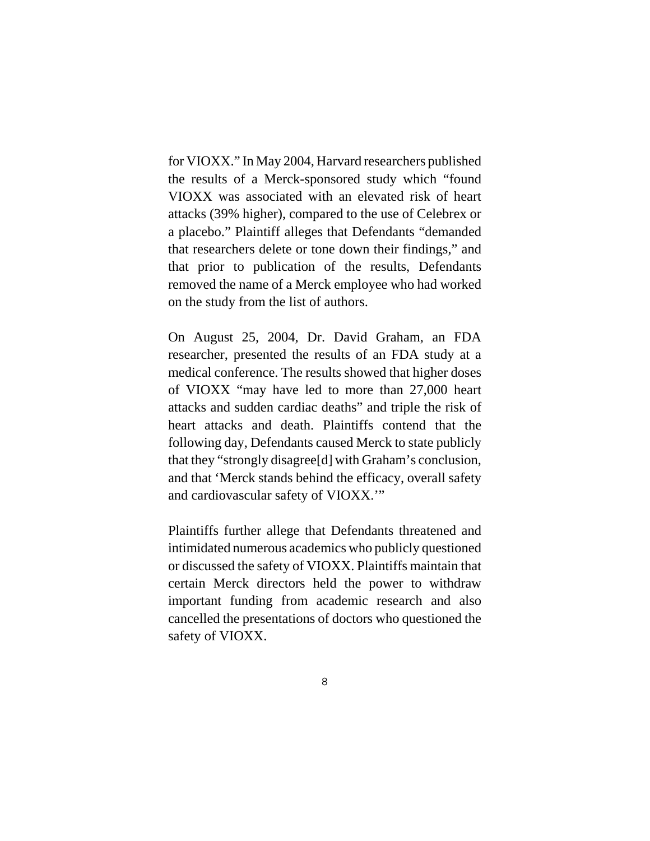for VIOXX." In May 2004, Harvard researchers published the results of a Merck-sponsored study which "found VIOXX was associated with an elevated risk of heart attacks (39% higher), compared to the use of Celebrex or a placebo." Plaintiff alleges that Defendants "demanded that researchers delete or tone down their findings," and that prior to publication of the results, Defendants removed the name of a Merck employee who had worked on the study from the list of authors.

On August 25, 2004, Dr. David Graham, an FDA researcher, presented the results of an FDA study at a medical conference. The results showed that higher doses of VIOXX "may have led to more than 27,000 heart attacks and sudden cardiac deaths" and triple the risk of heart attacks and death. Plaintiffs contend that the following day, Defendants caused Merck to state publicly that they "strongly disagree[d] with Graham's conclusion, and that 'Merck stands behind the efficacy, overall safety and cardiovascular safety of VIOXX.'"

Plaintiffs further allege that Defendants threatened and intimidated numerous academics who publicly questioned or discussed the safety of VIOXX. Plaintiffs maintain that certain Merck directors held the power to withdraw important funding from academic research and also cancelled the presentations of doctors who questioned the safety of VIOXX.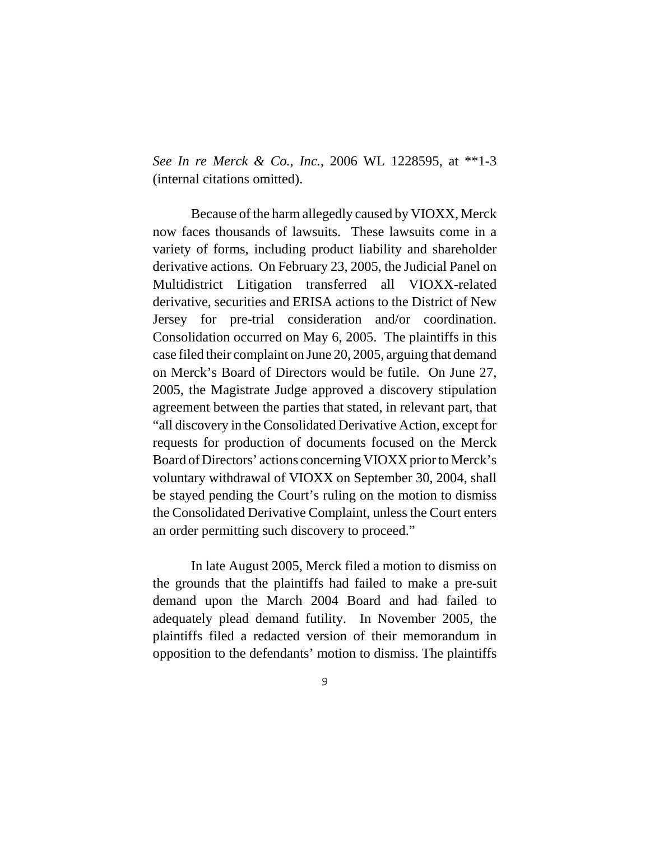*See In re Merck & Co., Inc.*, 2006 WL 1228595, at \*\*1-3 (internal citations omitted).

Because of the harm allegedly caused by VIOXX, Merck now faces thousands of lawsuits. These lawsuits come in a variety of forms, including product liability and shareholder derivative actions. On February 23, 2005, the Judicial Panel on Multidistrict Litigation transferred all VIOXX-related derivative, securities and ERISA actions to the District of New Jersey for pre-trial consideration and/or coordination. Consolidation occurred on May 6, 2005. The plaintiffs in this case filed their complaint on June 20, 2005, arguing that demand on Merck's Board of Directors would be futile. On June 27, 2005, the Magistrate Judge approved a discovery stipulation agreement between the parties that stated, in relevant part, that "all discovery in the Consolidated Derivative Action, except for requests for production of documents focused on the Merck Board of Directors' actions concerning VIOXX prior to Merck's voluntary withdrawal of VIOXX on September 30, 2004, shall be stayed pending the Court's ruling on the motion to dismiss the Consolidated Derivative Complaint, unless the Court enters an order permitting such discovery to proceed."

In late August 2005, Merck filed a motion to dismiss on the grounds that the plaintiffs had failed to make a pre-suit demand upon the March 2004 Board and had failed to adequately plead demand futility. In November 2005, the plaintiffs filed a redacted version of their memorandum in opposition to the defendants' motion to dismiss. The plaintiffs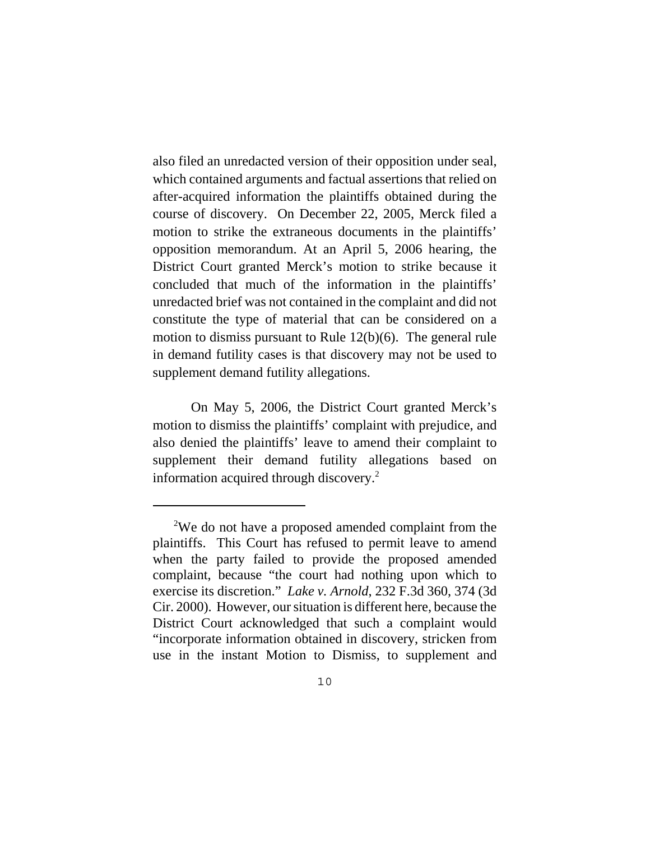also filed an unredacted version of their opposition under seal, which contained arguments and factual assertions that relied on after-acquired information the plaintiffs obtained during the course of discovery. On December 22, 2005, Merck filed a motion to strike the extraneous documents in the plaintiffs' opposition memorandum. At an April 5, 2006 hearing, the District Court granted Merck's motion to strike because it concluded that much of the information in the plaintiffs' unredacted brief was not contained in the complaint and did not constitute the type of material that can be considered on a motion to dismiss pursuant to Rule 12(b)(6). The general rule in demand futility cases is that discovery may not be used to supplement demand futility allegations.

On May 5, 2006, the District Court granted Merck's motion to dismiss the plaintiffs' complaint with prejudice, and also denied the plaintiffs' leave to amend their complaint to supplement their demand futility allegations based on information acquired through discovery. $2$ 

<sup>&</sup>lt;sup>2</sup>We do not have a proposed amended complaint from the plaintiffs. This Court has refused to permit leave to amend when the party failed to provide the proposed amended complaint, because "the court had nothing upon which to exercise its discretion." *Lake v. Arnold*, 232 F.3d 360, 374 (3d Cir. 2000). However, our situation is different here, because the District Court acknowledged that such a complaint would "incorporate information obtained in discovery, stricken from use in the instant Motion to Dismiss, to supplement and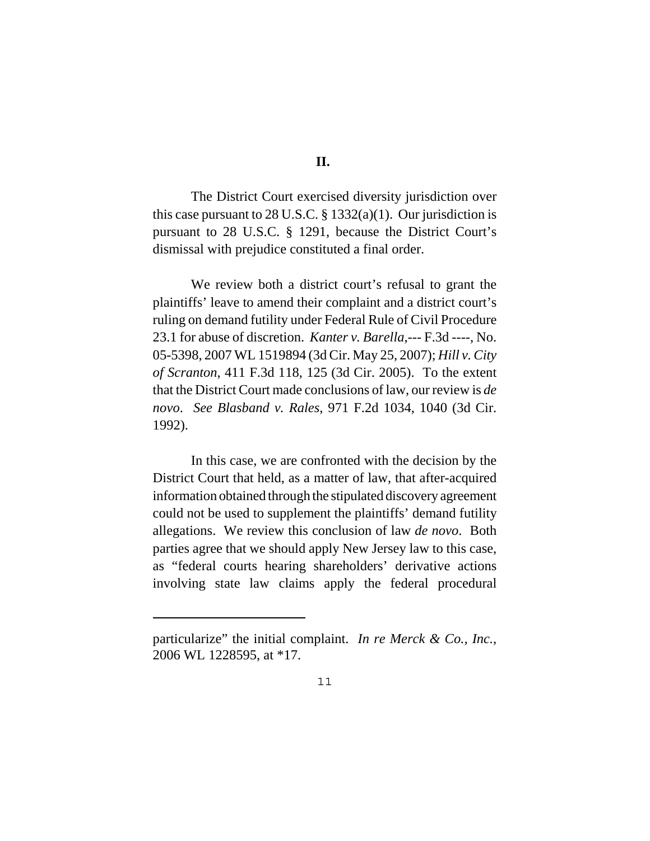The District Court exercised diversity jurisdiction over this case pursuant to 28 U.S.C.  $\S 1332(a)(1)$ . Our jurisdiction is pursuant to 28 U.S.C. § 1291, because the District Court's dismissal with prejudice constituted a final order.

We review both a district court's refusal to grant the plaintiffs' leave to amend their complaint and a district court's ruling on demand futility under Federal Rule of Civil Procedure 23.1 for abuse of discretion. *Kanter v. Barella*,--- F.3d ----, No. 05-5398, 2007 WL 1519894 (3d Cir. May 25, 2007); *Hill v. City of Scranton*, 411 F.3d 118, 125 (3d Cir. 2005). To the extent that the District Court made conclusions of law, our review is *de novo*. *See Blasband v. Rales*, 971 F.2d 1034, 1040 (3d Cir. 1992).

In this case, we are confronted with the decision by the District Court that held, as a matter of law, that after-acquired information obtained through the stipulated discovery agreement could not be used to supplement the plaintiffs' demand futility allegations. We review this conclusion of law *de novo*. Both parties agree that we should apply New Jersey law to this case, as "federal courts hearing shareholders' derivative actions involving state law claims apply the federal procedural

particularize" the initial complaint. *In re Merck & Co., Inc.*, 2006 WL 1228595, at \*17.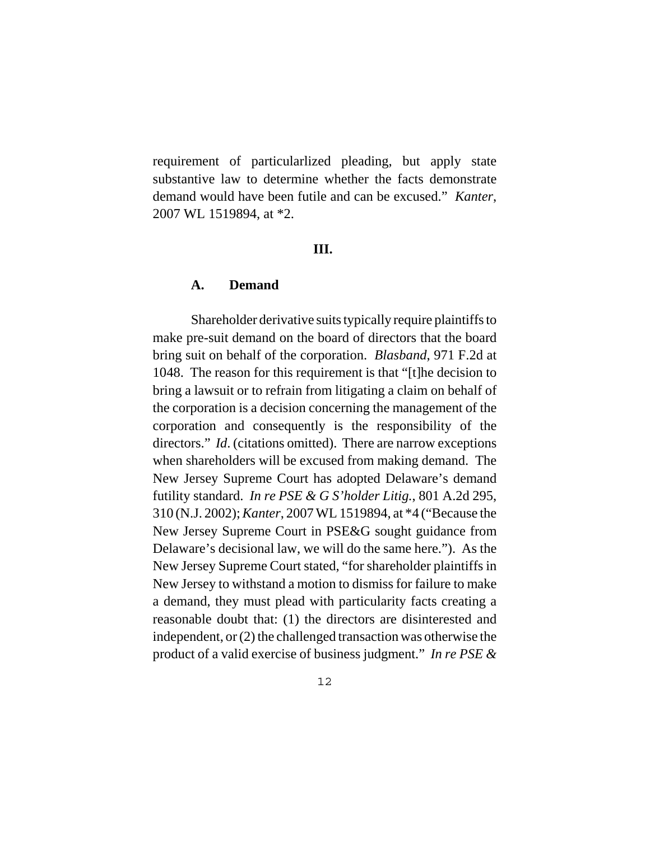requirement of particularlized pleading, but apply state substantive law to determine whether the facts demonstrate demand would have been futile and can be excused." *Kanter*, 2007 WL 1519894, at \*2.

#### **III.**

#### **A. Demand**

Shareholder derivative suits typically require plaintiffs to make pre-suit demand on the board of directors that the board bring suit on behalf of the corporation. *Blasband*, 971 F.2d at 1048. The reason for this requirement is that "[t]he decision to bring a lawsuit or to refrain from litigating a claim on behalf of the corporation is a decision concerning the management of the corporation and consequently is the responsibility of the directors." *Id*. (citations omitted). There are narrow exceptions when shareholders will be excused from making demand. The New Jersey Supreme Court has adopted Delaware's demand futility standard. *In re PSE & G S'holder Litig.*, 801 A.2d 295, 310 (N.J. 2002); *Kanter*, 2007 WL 1519894, at \*4 ("Because the New Jersey Supreme Court in PSE&G sought guidance from Delaware's decisional law, we will do the same here."). As the New Jersey Supreme Court stated, "for shareholder plaintiffs in New Jersey to withstand a motion to dismiss for failure to make a demand, they must plead with particularity facts creating a reasonable doubt that: (1) the directors are disinterested and independent, or (2) the challenged transaction was otherwise the product of a valid exercise of business judgment." *In re PSE &*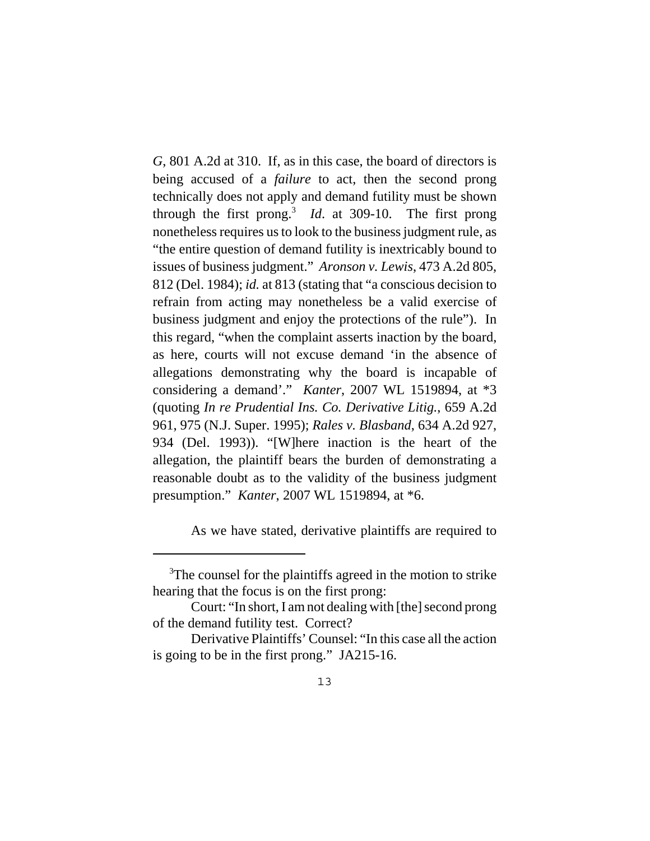*G*, 801 A.2d at 310. If, as in this case, the board of directors is being accused of a *failure* to act, then the second prong technically does not apply and demand futility must be shown through the first prong.3 *Id*. at 309-10. The first prong nonetheless requires us to look to the business judgment rule, as "the entire question of demand futility is inextricably bound to issues of business judgment." *Aronson v. Lewis*, 473 A.2d 805, 812 (Del. 1984); *id.* at 813 (stating that "a conscious decision to refrain from acting may nonetheless be a valid exercise of business judgment and enjoy the protections of the rule"). In this regard, "when the complaint asserts inaction by the board, as here, courts will not excuse demand 'in the absence of allegations demonstrating why the board is incapable of considering a demand'." *Kanter*, 2007 WL 1519894, at \*3 (quoting *In re Prudential Ins. Co. Derivative Litig.*, 659 A.2d 961, 975 (N.J. Super. 1995); *Rales v. Blasband*, 634 A.2d 927, 934 (Del. 1993)). "[W]here inaction is the heart of the allegation, the plaintiff bears the burden of demonstrating a reasonable doubt as to the validity of the business judgment presumption." *Kanter*, 2007 WL 1519894, at \*6.

As we have stated, derivative plaintiffs are required to

<sup>&</sup>lt;sup>3</sup>The counsel for the plaintiffs agreed in the motion to strike hearing that the focus is on the first prong:

Court: "In short, I am not dealing with [the] second prong of the demand futility test. Correct?

Derivative Plaintiffs' Counsel: "In this case all the action is going to be in the first prong." JA215-16.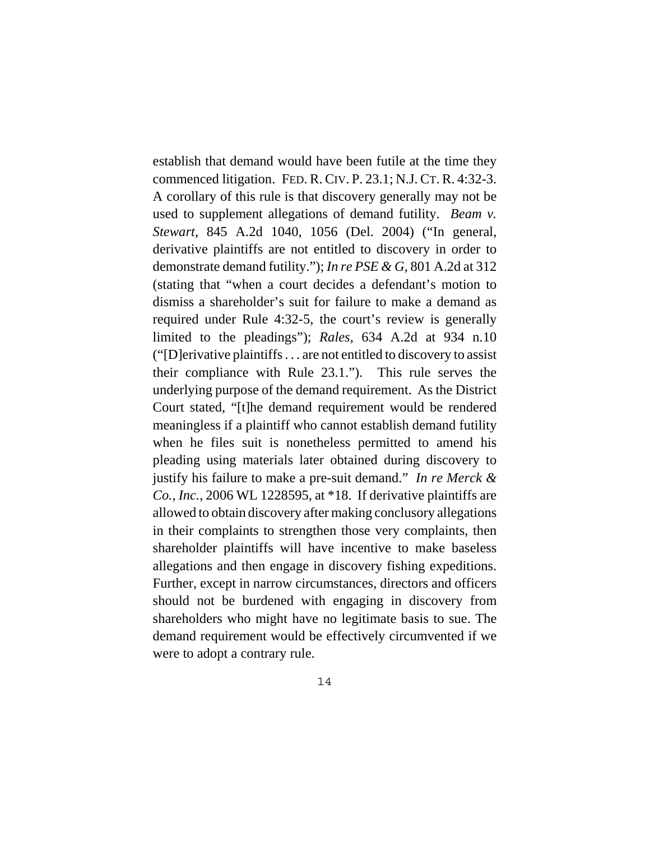establish that demand would have been futile at the time they commenced litigation. FED. R. CIV. P. 23.1; N.J. CT. R. 4:32-3. A corollary of this rule is that discovery generally may not be used to supplement allegations of demand futility. *Beam v. Stewart*, 845 A.2d 1040, 1056 (Del. 2004) ("In general, derivative plaintiffs are not entitled to discovery in order to demonstrate demand futility."); *In re PSE & G*, 801 A.2d at 312 (stating that "when a court decides a defendant's motion to dismiss a shareholder's suit for failure to make a demand as required under Rule 4:32-5, the court's review is generally limited to the pleadings"); *Rales*, 634 A.2d at 934 n.10 ("[D]erivative plaintiffs . . . are not entitled to discovery to assist their compliance with Rule 23.1."). This rule serves the underlying purpose of the demand requirement. As the District Court stated, "[t]he demand requirement would be rendered meaningless if a plaintiff who cannot establish demand futility when he files suit is nonetheless permitted to amend his pleading using materials later obtained during discovery to justify his failure to make a pre-suit demand." *In re Merck & Co., Inc.*, 2006 WL 1228595, at \*18. If derivative plaintiffs are allowed to obtain discovery after making conclusory allegations in their complaints to strengthen those very complaints, then shareholder plaintiffs will have incentive to make baseless allegations and then engage in discovery fishing expeditions. Further, except in narrow circumstances, directors and officers should not be burdened with engaging in discovery from shareholders who might have no legitimate basis to sue. The demand requirement would be effectively circumvented if we were to adopt a contrary rule.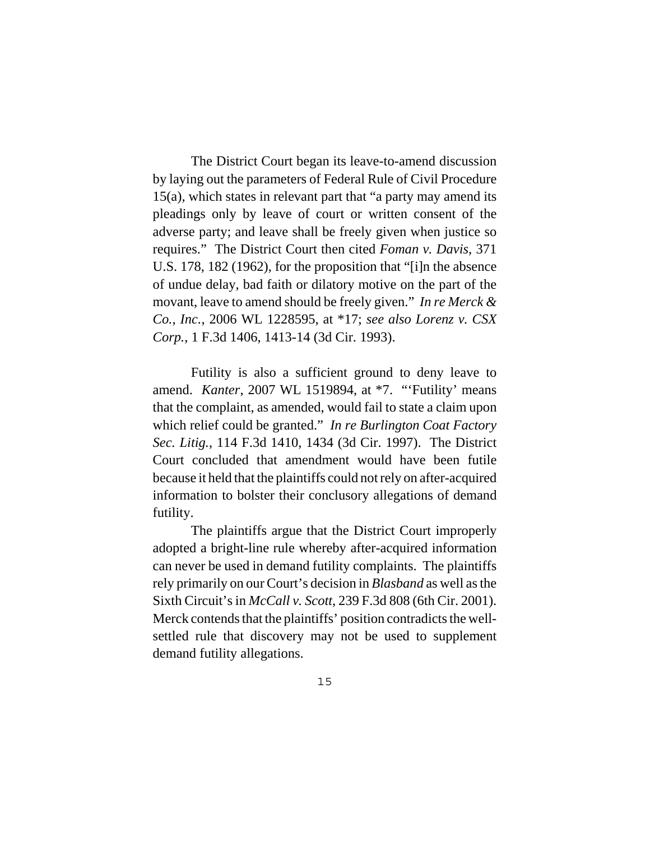The District Court began its leave-to-amend discussion by laying out the parameters of Federal Rule of Civil Procedure 15(a), which states in relevant part that "a party may amend its pleadings only by leave of court or written consent of the adverse party; and leave shall be freely given when justice so requires." The District Court then cited *Foman v. Davis*, 371 U.S. 178, 182 (1962), for the proposition that "[i]n the absence of undue delay, bad faith or dilatory motive on the part of the movant, leave to amend should be freely given." *In re Merck & Co., Inc.*, 2006 WL 1228595, at \*17; *see also Lorenz v. CSX Corp.*, 1 F.3d 1406, 1413-14 (3d Cir. 1993).

Futility is also a sufficient ground to deny leave to amend. *Kanter*, 2007 WL 1519894, at \*7. "'Futility' means that the complaint, as amended, would fail to state a claim upon which relief could be granted." *In re Burlington Coat Factory Sec. Litig.*, 114 F.3d 1410, 1434 (3d Cir. 1997). The District Court concluded that amendment would have been futile because it held that the plaintiffs could not rely on after-acquired information to bolster their conclusory allegations of demand futility.

The plaintiffs argue that the District Court improperly adopted a bright-line rule whereby after-acquired information can never be used in demand futility complaints. The plaintiffs rely primarily on our Court's decision in *Blasband* as well as the Sixth Circuit's in *McCall v. Scott*, 239 F.3d 808 (6th Cir. 2001). Merck contends that the plaintiffs' position contradicts the wellsettled rule that discovery may not be used to supplement demand futility allegations.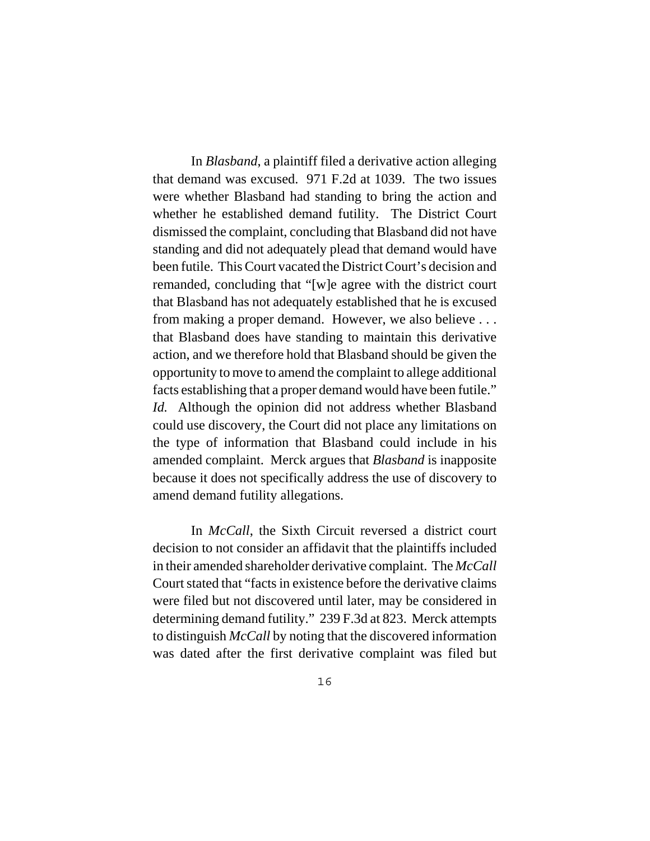In *Blasband*, a plaintiff filed a derivative action alleging that demand was excused. 971 F.2d at 1039. The two issues were whether Blasband had standing to bring the action and whether he established demand futility. The District Court dismissed the complaint, concluding that Blasband did not have standing and did not adequately plead that demand would have been futile. This Court vacated the District Court's decision and remanded, concluding that "[w]e agree with the district court that Blasband has not adequately established that he is excused from making a proper demand. However, we also believe . . . that Blasband does have standing to maintain this derivative action, and we therefore hold that Blasband should be given the opportunity to move to amend the complaint to allege additional facts establishing that a proper demand would have been futile." *Id.* Although the opinion did not address whether Blasband could use discovery, the Court did not place any limitations on the type of information that Blasband could include in his amended complaint. Merck argues that *Blasband* is inapposite because it does not specifically address the use of discovery to amend demand futility allegations.

In *McCall*, the Sixth Circuit reversed a district court decision to not consider an affidavit that the plaintiffs included in their amended shareholder derivative complaint. The *McCall* Court stated that "facts in existence before the derivative claims were filed but not discovered until later, may be considered in determining demand futility." 239 F.3d at 823. Merck attempts to distinguish *McCall* by noting that the discovered information was dated after the first derivative complaint was filed but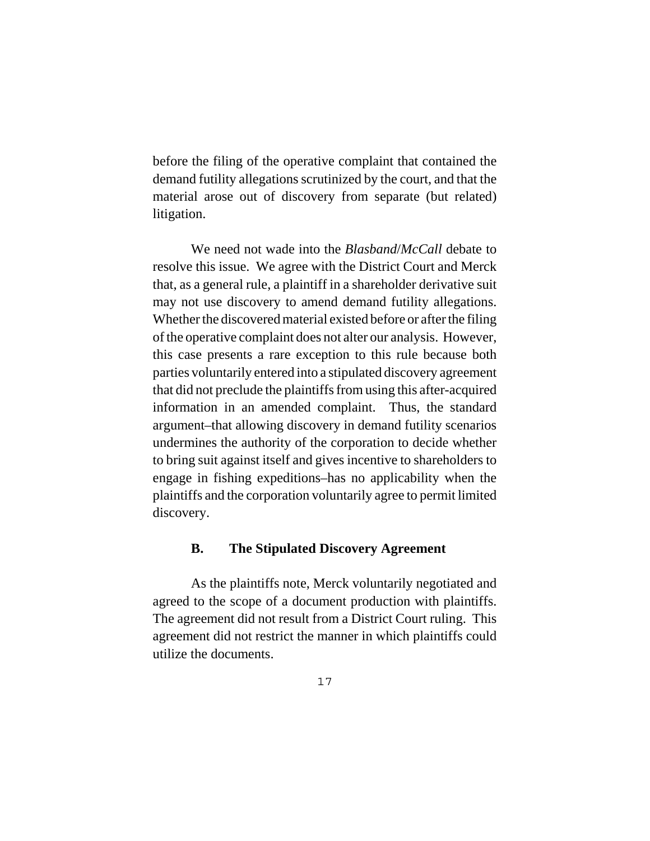before the filing of the operative complaint that contained the demand futility allegations scrutinized by the court, and that the material arose out of discovery from separate (but related) litigation.

We need not wade into the *Blasband*/*McCall* debate to resolve this issue. We agree with the District Court and Merck that, as a general rule, a plaintiff in a shareholder derivative suit may not use discovery to amend demand futility allegations. Whether the discovered material existed before or after the filing of the operative complaint does not alter our analysis. However, this case presents a rare exception to this rule because both parties voluntarily entered into a stipulated discovery agreement that did not preclude the plaintiffs from using this after-acquired information in an amended complaint. Thus, the standard argument–that allowing discovery in demand futility scenarios undermines the authority of the corporation to decide whether to bring suit against itself and gives incentive to shareholders to engage in fishing expeditions–has no applicability when the plaintiffs and the corporation voluntarily agree to permit limited discovery.

## **B. The Stipulated Discovery Agreement**

As the plaintiffs note, Merck voluntarily negotiated and agreed to the scope of a document production with plaintiffs. The agreement did not result from a District Court ruling. This agreement did not restrict the manner in which plaintiffs could utilize the documents.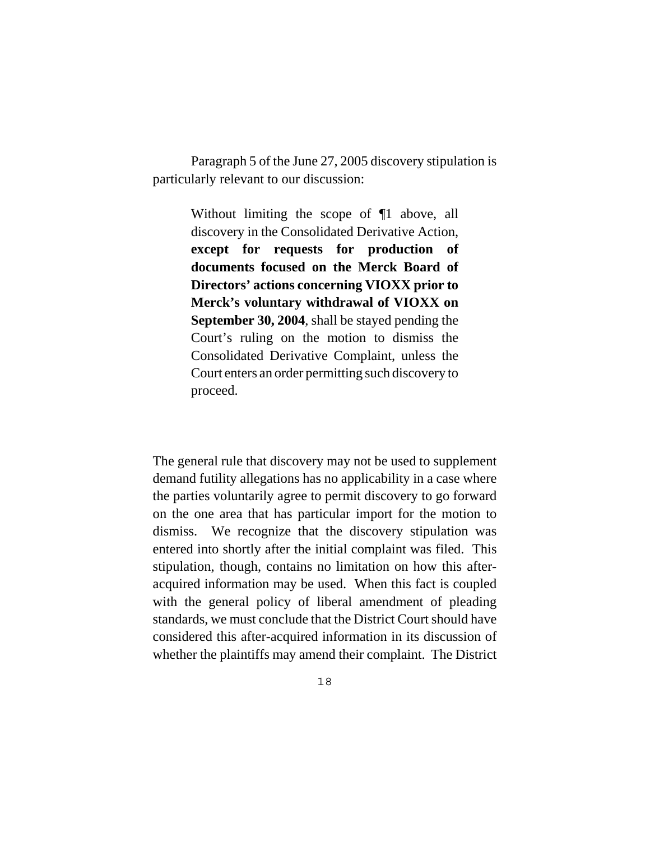Paragraph 5 of the June 27, 2005 discovery stipulation is particularly relevant to our discussion:

> Without limiting the scope of ¶1 above, all discovery in the Consolidated Derivative Action, **except for requests for production of documents focused on the Merck Board of Directors' actions concerning VIOXX prior to Merck's voluntary withdrawal of VIOXX on September 30, 2004**, shall be stayed pending the Court's ruling on the motion to dismiss the Consolidated Derivative Complaint, unless the Court enters an order permitting such discovery to proceed.

The general rule that discovery may not be used to supplement demand futility allegations has no applicability in a case where the parties voluntarily agree to permit discovery to go forward on the one area that has particular import for the motion to dismiss. We recognize that the discovery stipulation was entered into shortly after the initial complaint was filed. This stipulation, though, contains no limitation on how this afteracquired information may be used. When this fact is coupled with the general policy of liberal amendment of pleading standards, we must conclude that the District Court should have considered this after-acquired information in its discussion of whether the plaintiffs may amend their complaint. The District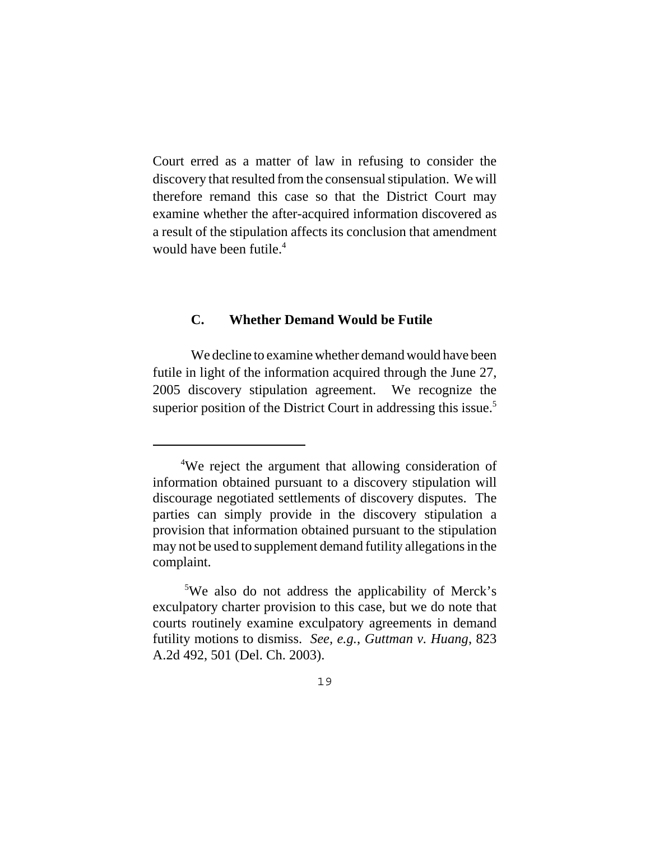Court erred as a matter of law in refusing to consider the discovery that resulted from the consensual stipulation. We will therefore remand this case so that the District Court may examine whether the after-acquired information discovered as a result of the stipulation affects its conclusion that amendment would have been futile.<sup>4</sup>

# **C. Whether Demand Would be Futile**

We decline to examine whether demand would have been futile in light of the information acquired through the June 27, 2005 discovery stipulation agreement. We recognize the superior position of the District Court in addressing this issue.<sup>5</sup>

 <sup>4</sup> We reject the argument that allowing consideration of information obtained pursuant to a discovery stipulation will discourage negotiated settlements of discovery disputes. The parties can simply provide in the discovery stipulation a provision that information obtained pursuant to the stipulation may not be used to supplement demand futility allegations in the complaint.

<sup>&</sup>lt;sup>5</sup>We also do not address the applicability of Merck's exculpatory charter provision to this case, but we do note that courts routinely examine exculpatory agreements in demand futility motions to dismiss. *See, e.g.*, *Guttman v. Huang*, 823 A.2d 492, 501 (Del. Ch. 2003).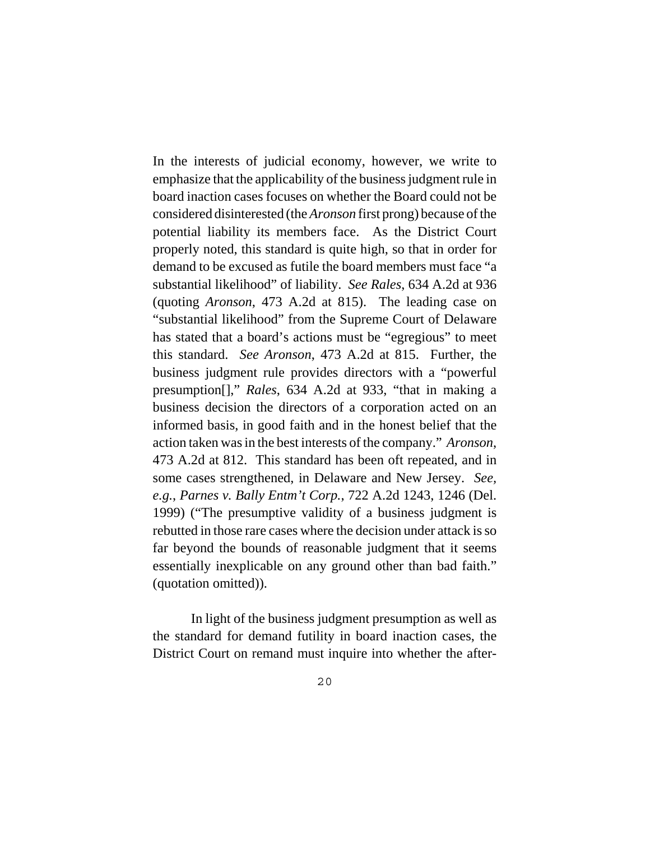In the interests of judicial economy, however, we write to emphasize that the applicability of the business judgment rule in board inaction cases focuses on whether the Board could not be considered disinterested (the *Aronson* first prong) because of the potential liability its members face. As the District Court properly noted, this standard is quite high, so that in order for demand to be excused as futile the board members must face "a substantial likelihood" of liability. *See Rales*, 634 A.2d at 936 (quoting *Aronson*, 473 A.2d at 815). The leading case on "substantial likelihood" from the Supreme Court of Delaware has stated that a board's actions must be "egregious" to meet this standard. *See Aronson*, 473 A.2d at 815. Further, the business judgment rule provides directors with a "powerful presumption[]," *Rales*, 634 A.2d at 933, "that in making a business decision the directors of a corporation acted on an informed basis, in good faith and in the honest belief that the action taken was in the best interests of the company." *Aronson*, 473 A.2d at 812. This standard has been oft repeated, and in some cases strengthened, in Delaware and New Jersey. *See, e.g.*, *Parnes v. Bally Entm't Corp.*, 722 A.2d 1243, 1246 (Del. 1999) ("The presumptive validity of a business judgment is rebutted in those rare cases where the decision under attack is so far beyond the bounds of reasonable judgment that it seems essentially inexplicable on any ground other than bad faith." (quotation omitted)).

In light of the business judgment presumption as well as the standard for demand futility in board inaction cases, the District Court on remand must inquire into whether the after-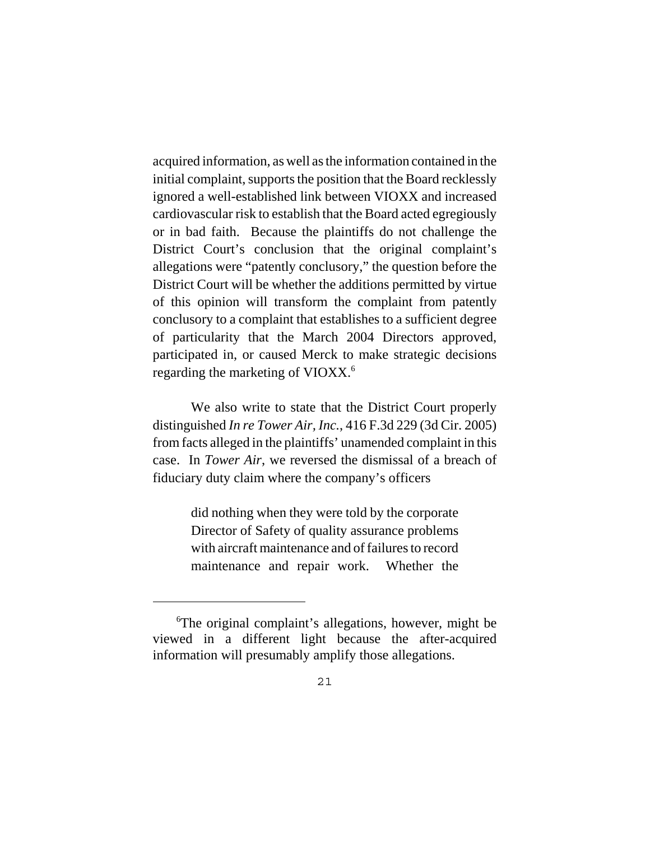acquired information, as well as the information contained in the initial complaint, supports the position that the Board recklessly ignored a well-established link between VIOXX and increased cardiovascular risk to establish that the Board acted egregiously or in bad faith. Because the plaintiffs do not challenge the District Court's conclusion that the original complaint's allegations were "patently conclusory," the question before the District Court will be whether the additions permitted by virtue of this opinion will transform the complaint from patently conclusory to a complaint that establishes to a sufficient degree of particularity that the March 2004 Directors approved, participated in, or caused Merck to make strategic decisions regarding the marketing of VIOXX.<sup>6</sup>

We also write to state that the District Court properly distinguished *In re Tower Air, Inc.*, 416 F.3d 229 (3d Cir. 2005) from facts alleged in the plaintiffs' unamended complaint in this case. In *Tower Air*, we reversed the dismissal of a breach of fiduciary duty claim where the company's officers

> did nothing when they were told by the corporate Director of Safety of quality assurance problems with aircraft maintenance and of failures to record maintenance and repair work. Whether the

 <sup>6</sup> The original complaint's allegations, however, might be viewed in a different light because the after-acquired information will presumably amplify those allegations.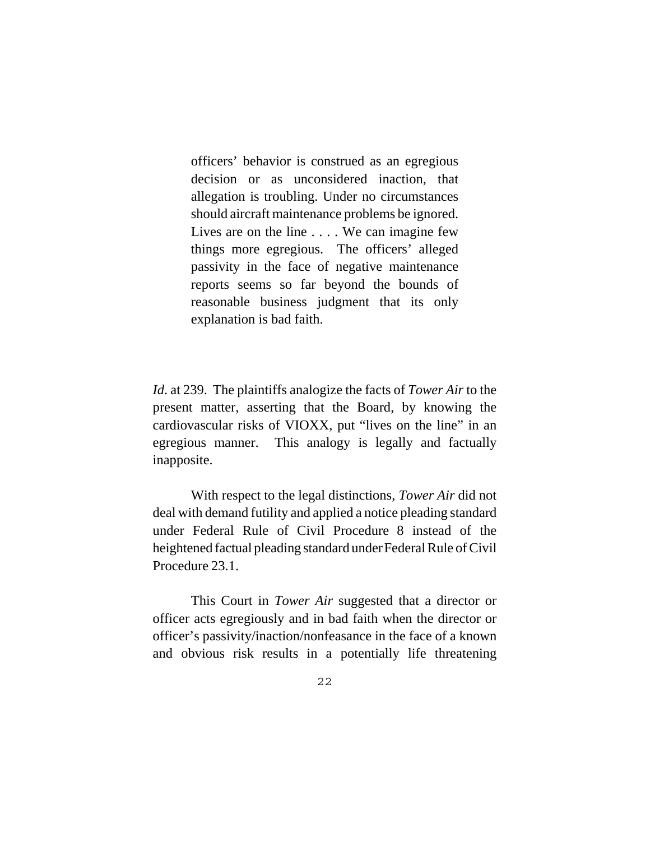officers' behavior is construed as an egregious decision or as unconsidered inaction, that allegation is troubling. Under no circumstances should aircraft maintenance problems be ignored. Lives are on the line . . . . We can imagine few things more egregious. The officers' alleged passivity in the face of negative maintenance reports seems so far beyond the bounds of reasonable business judgment that its only explanation is bad faith.

*Id*. at 239. The plaintiffs analogize the facts of *Tower Air* to the present matter, asserting that the Board, by knowing the cardiovascular risks of VIOXX, put "lives on the line" in an egregious manner. This analogy is legally and factually inapposite.

With respect to the legal distinctions, *Tower Air* did not deal with demand futility and applied a notice pleading standard under Federal Rule of Civil Procedure 8 instead of the heightened factual pleading standard under Federal Rule of Civil Procedure 23.1.

This Court in *Tower Air* suggested that a director or officer acts egregiously and in bad faith when the director or officer's passivity/inaction/nonfeasance in the face of a known and obvious risk results in a potentially life threatening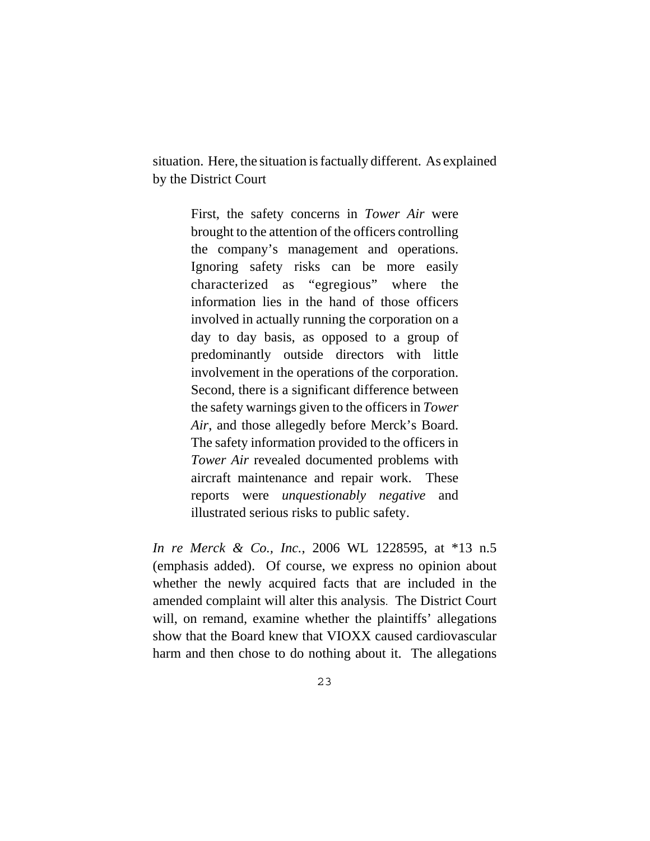situation. Here, the situation is factually different. As explained by the District Court

> First, the safety concerns in *Tower Air* were brought to the attention of the officers controlling the company's management and operations. Ignoring safety risks can be more easily characterized as "egregious" where the information lies in the hand of those officers involved in actually running the corporation on a day to day basis, as opposed to a group of predominantly outside directors with little involvement in the operations of the corporation. Second, there is a significant difference between the safety warnings given to the officers in *Tower Air*, and those allegedly before Merck's Board. The safety information provided to the officers in *Tower Air* revealed documented problems with aircraft maintenance and repair work. These reports were *unquestionably negative* and illustrated serious risks to public safety.

*In re Merck & Co., Inc.*, 2006 WL 1228595, at \*13 n.5 (emphasis added). Of course, we express no opinion about whether the newly acquired facts that are included in the amended complaint will alter this analysis. The District Court will, on remand, examine whether the plaintiffs' allegations show that the Board knew that VIOXX caused cardiovascular harm and then chose to do nothing about it. The allegations